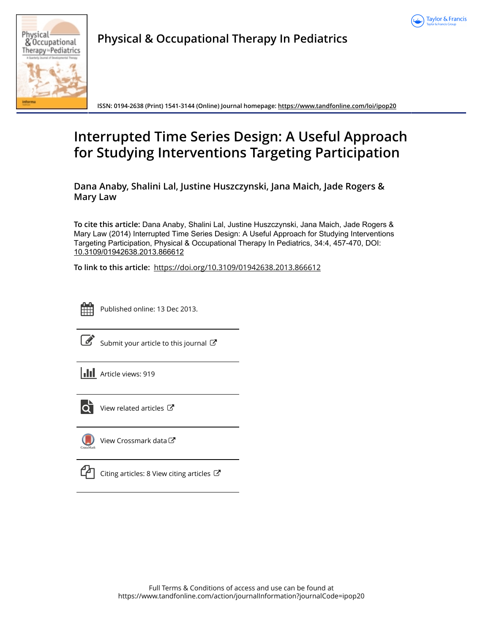



**Physical & Occupational Therapy In Pediatrics**

**ISSN: 0194-2638 (Print) 1541-3144 (Online) Journal homepage:<https://www.tandfonline.com/loi/ipop20>**

# **Interrupted Time Series Design: A Useful Approach for Studying Interventions Targeting Participation**

**Dana Anaby, Shalini Lal, Justine Huszczynski, Jana Maich, Jade Rogers & Mary Law**

**To cite this article:** Dana Anaby, Shalini Lal, Justine Huszczynski, Jana Maich, Jade Rogers & Mary Law (2014) Interrupted Time Series Design: A Useful Approach for Studying Interventions Targeting Participation, Physical & Occupational Therapy In Pediatrics, 34:4, 457-470, DOI: [10.3109/01942638.2013.866612](https://www.tandfonline.com/action/showCitFormats?doi=10.3109/01942638.2013.866612)

**To link to this article:** <https://doi.org/10.3109/01942638.2013.866612>



Published online: 13 Dec 2013.



 $\overline{\mathscr{L}}$  [Submit your article to this journal](https://www.tandfonline.com/action/authorSubmission?journalCode=ipop20&show=instructions)  $\mathbb{F}$ 

**III** Article views: 919



[View related articles](https://www.tandfonline.com/doi/mlt/10.3109/01942638.2013.866612)  $\mathbb{Z}$ 



[View Crossmark data](http://crossmark.crossref.org/dialog/?doi=10.3109/01942638.2013.866612&domain=pdf&date_stamp=2013-12-13)



[Citing articles: 8 View citing articles](https://www.tandfonline.com/doi/citedby/10.3109/01942638.2013.866612#tabModule)  $\mathbb{Z}$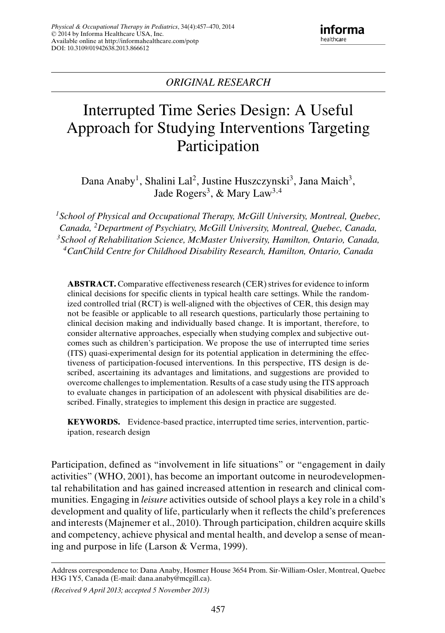*ORIGINAL RESEARCH*

## Interrupted Time Series Design: A Useful Approach for Studying Interventions Targeting Participation

Dana Anaby<sup>1</sup>, Shalini Lal<sup>2</sup>, Justine Huszczynski<sup>3</sup>, Jana Maich<sup>3</sup>, Jade Rogers<sup>3</sup>, & Mary Law<sup>3,4</sup>

*1School of Physical and Occupational Therapy, McGill University, Montreal, Quebec, Canada, 2Department of Psychiatry, McGill University, Montreal, Quebec, Canada, 3School of Rehabilitation Science, McMaster University, Hamilton, Ontario, Canada, 4CanChild Centre for Childhood Disability Research, Hamilton, Ontario, Canada*

**ABSTRACT.** Comparative effectiveness research (CER) strives for evidence to inform clinical decisions for specific clients in typical health care settings. While the randomized controlled trial (RCT) is well-aligned with the objectives of CER, this design may not be feasible or applicable to all research questions, particularly those pertaining to clinical decision making and individually based change. It is important, therefore, to consider alternative approaches, especially when studying complex and subjective outcomes such as children's participation. We propose the use of interrupted time series (ITS) quasi-experimental design for its potential application in determining the effectiveness of participation-focused interventions. In this perspective, ITS design is described, ascertaining its advantages and limitations, and suggestions are provided to overcome challenges to implementation. Results of a case study using the ITS approach to evaluate changes in participation of an adolescent with physical disabilities are described. Finally, strategies to implement this design in practice are suggested.

**KEYWORDS.** Evidence-based practice, interrupted time series, intervention, participation, research design

Participation, defined as "involvement in life situations" or "engagement in daily activities" (WHO, 2001), has become an important outcome in neurodevelopmental rehabilitation and has gained increased attention in research and clinical communities. Engaging in *leisure* activities outside of school plays a key role in a child's development and quality of life, particularly when it reflects the child's preferences and interests (Majnemer et al., 2010). Through participation, children acquire skills and competency, achieve physical and mental health, and develop a sense of meaning and purpose in life (Larson & Verma, 1999).

Address correspondence to: Dana Anaby, Hosmer House 3654 Prom. Sir-William-Osler, Montreal, Quebec H3G 1Y5, Canada (E-mail: dana.anaby@mcgill.ca).

*<sup>(</sup>Received 9 April 2013; accepted 5 November 2013)*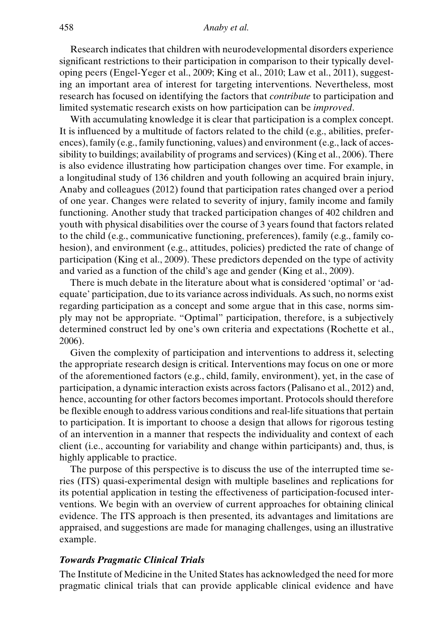Research indicates that children with neurodevelopmental disorders experience significant restrictions to their participation in comparison to their typically developing peers (Engel-Yeger et al., 2009; King et al., 2010; Law et al., 2011), suggesting an important area of interest for targeting interventions. Nevertheless, most research has focused on identifying the factors that *contribute* to participation and limited systematic research exists on how participation can be *improved*.

With accumulating knowledge it is clear that participation is a complex concept. It is influenced by a multitude of factors related to the child (e.g., abilities, preferences), family (e.g., family functioning, values) and environment (e.g., lack of accessibility to buildings; availability of programs and services) (King et al., 2006). There is also evidence illustrating how participation changes over time. For example, in a longitudinal study of 136 children and youth following an acquired brain injury, Anaby and colleagues (2012) found that participation rates changed over a period of one year. Changes were related to severity of injury, family income and family functioning. Another study that tracked participation changes of 402 children and youth with physical disabilities over the course of 3 years found that factors related to the child (e.g., communicative functioning, preferences), family (e.g., family cohesion), and environment (e.g., attitudes, policies) predicted the rate of change of participation (King et al., 2009). These predictors depended on the type of activity and varied as a function of the child's age and gender (King et al., 2009).

There is much debate in the literature about what is considered 'optimal' or 'adequate' participation, due to its variance across individuals. As such, no norms exist regarding participation as a concept and some argue that in this case, norms simply may not be appropriate. "Optimal" participation, therefore, is a subjectively determined construct led by one's own criteria and expectations (Rochette et al., 2006).

Given the complexity of participation and interventions to address it, selecting the appropriate research design is critical. Interventions may focus on one or more of the aforementioned factors (e.g., child, family, environment), yet, in the case of participation, a dynamic interaction exists across factors (Palisano et al., 2012) and, hence, accounting for other factors becomes important. Protocols should therefore be flexible enough to address various conditions and real-life situations that pertain to participation. It is important to choose a design that allows for rigorous testing of an intervention in a manner that respects the individuality and context of each client (i.e., accounting for variability and change within participants) and, thus, is highly applicable to practice.

The purpose of this perspective is to discuss the use of the interrupted time series (ITS) quasi-experimental design with multiple baselines and replications for its potential application in testing the effectiveness of participation-focused interventions. We begin with an overview of current approaches for obtaining clinical evidence. The ITS approach is then presented, its advantages and limitations are appraised, and suggestions are made for managing challenges, using an illustrative example.

#### *Towards Pragmatic Clinical Trials*

The Institute of Medicine in the United States has acknowledged the need for more pragmatic clinical trials that can provide applicable clinical evidence and have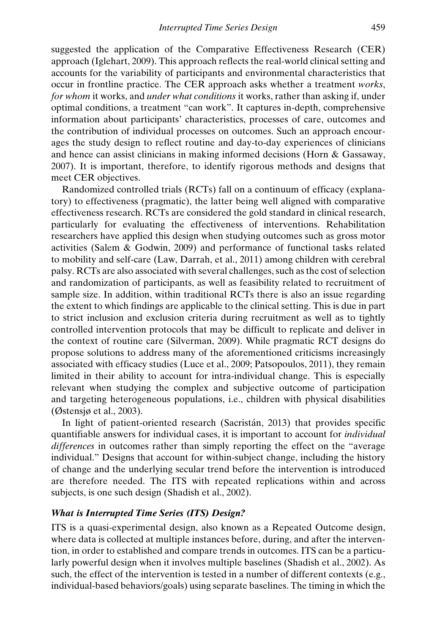suggested the application of the Comparative Effectiveness Research (CER) approach (Iglehart, 2009). This approach reflects the real-world clinical setting and accounts for the variability of participants and environmental characteristics that occur in frontline practice. The CER approach asks whether a treatment *works*, *for whom* it works, and *under what conditions* it works, rather than asking if, under optimal conditions, a treatment "can work". It captures in-depth, comprehensive information about participants' characteristics, processes of care, outcomes and the contribution of individual processes on outcomes. Such an approach encourages the study design to reflect routine and day-to-day experiences of clinicians and hence can assist clinicians in making informed decisions (Horn & Gassaway, 2007). It is important, therefore, to identify rigorous methods and designs that meet CER objectives.

Randomized controlled trials (RCTs) fall on a continuum of efficacy (explanatory) to effectiveness (pragmatic), the latter being well aligned with comparative effectiveness research. RCTs are considered the gold standard in clinical research, particularly for evaluating the effectiveness of interventions. Rehabilitation researchers have applied this design when studying outcomes such as gross motor activities (Salem & Godwin, 2009) and performance of functional tasks related to mobility and self-care (Law, Darrah, et al., 2011) among children with cerebral palsy. RCTs are also associated with several challenges, such as the cost of selection and randomization of participants, as well as feasibility related to recruitment of sample size. In addition, within traditional RCTs there is also an issue regarding the extent to which findings are applicable to the clinical setting. This is due in part to strict inclusion and exclusion criteria during recruitment as well as to tightly controlled intervention protocols that may be difficult to replicate and deliver in the context of routine care (Silverman, 2009). While pragmatic RCT designs do propose solutions to address many of the aforementioned criticisms increasingly associated with efficacy studies (Luce et al., 2009; Patsopoulos, 2011), they remain limited in their ability to account for intra-individual change. This is especially relevant when studying the complex and subjective outcome of participation and targeting heterogeneous populations, i.e., children with physical disabilities (Østensjø et al., 2003).

In light of patient-oriented research (Sacristán, 2013) that provides specific quantifiable answers for individual cases, it is important to account for *individual differences* in outcomes rather than simply reporting the effect on the "average individual." Designs that account for within-subject change, including the history of change and the underlying secular trend before the intervention is introduced are therefore needed. The ITS with repeated replications within and across subjects, is one such design (Shadish et al., 2002).

#### *What is Interrupted Time Series (ITS) Design?*

ITS is a quasi-experimental design, also known as a Repeated Outcome design, where data is collected at multiple instances before, during, and after the intervention, in order to established and compare trends in outcomes. ITS can be a particularly powerful design when it involves multiple baselines (Shadish et al., 2002). As such, the effect of the intervention is tested in a number of different contexts (e.g., individual-based behaviors/goals) using separate baselines. The timing in which the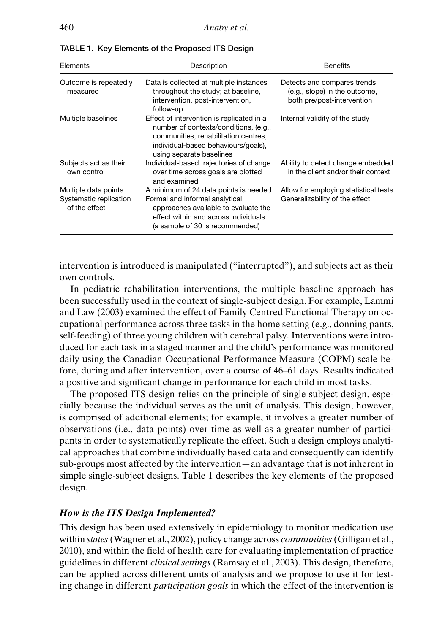| Elements                                | Description                                                                                                                                                                                   | <b>Benefits</b>                                                                            |  |  |  |
|-----------------------------------------|-----------------------------------------------------------------------------------------------------------------------------------------------------------------------------------------------|--------------------------------------------------------------------------------------------|--|--|--|
| Outcome is repeatedly<br>measured       | Data is collected at multiple instances<br>throughout the study; at baseline,<br>intervention, post-intervention,<br>follow-up                                                                | Detects and compares trends<br>(e.g., slope) in the outcome,<br>both pre/post-intervention |  |  |  |
| Multiple baselines                      | Effect of intervention is replicated in a<br>number of contexts/conditions, (e.g.,<br>communities, rehabilitation centres,<br>individual-based behaviours/goals),<br>using separate baselines | Internal validity of the study                                                             |  |  |  |
| Subjects act as their<br>own control    | Individual-based trajectories of change<br>over time across goals are plotted<br>and examined                                                                                                 | Ability to detect change embedded<br>in the client and/or their context                    |  |  |  |
| Multiple data points                    | A minimum of 24 data points is needed                                                                                                                                                         | Allow for employing statistical tests                                                      |  |  |  |
| Systematic replication<br>of the effect | Formal and informal analytical<br>approaches available to evaluate the<br>effect within and across individuals<br>(a sample of 30 is recommended)                                             | Generalizability of the effect                                                             |  |  |  |

**TABLE 1. Key Elements of the Proposed ITS Design**

intervention is introduced is manipulated ("interrupted"), and subjects act as their own controls.

In pediatric rehabilitation interventions, the multiple baseline approach has been successfully used in the context of single-subject design. For example, Lammi and Law (2003) examined the effect of Family Centred Functional Therapy on occupational performance across three tasks in the home setting (e.g., donning pants, self-feeding) of three young children with cerebral palsy. Interventions were introduced for each task in a staged manner and the child's performance was monitored daily using the Canadian Occupational Performance Measure (COPM) scale before, during and after intervention, over a course of 46–61 days. Results indicated a positive and significant change in performance for each child in most tasks.

The proposed ITS design relies on the principle of single subject design, especially because the individual serves as the unit of analysis. This design, however, is comprised of additional elements; for example, it involves a greater number of observations (i.e., data points) over time as well as a greater number of participants in order to systematically replicate the effect. Such a design employs analytical approaches that combine individually based data and consequently can identify sub-groups most affected by the intervention—an advantage that is not inherent in simple single-subject designs. Table 1 describes the key elements of the proposed design.

#### *How is the ITS Design Implemented?*

This design has been used extensively in epidemiology to monitor medication use within *states*(Wagner et al., 2002), policy change across *communities*(Gilligan et al., 2010), and within the field of health care for evaluating implementation of practice guidelines in different *clinical settings* (Ramsay et al., 2003). This design, therefore, can be applied across different units of analysis and we propose to use it for testing change in different *participation goals* in which the effect of the intervention is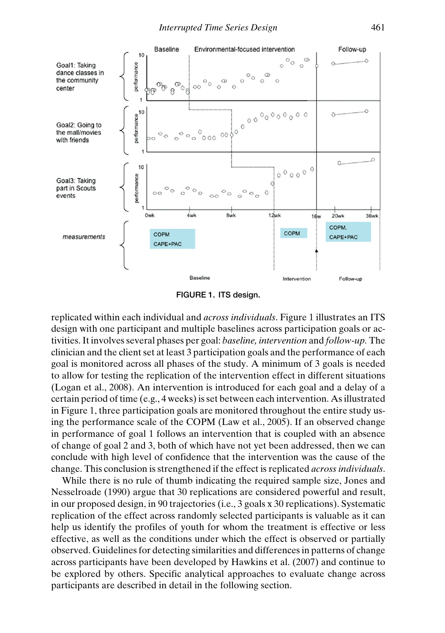

#### **FIGURE 1. ITS design.**

replicated within each individual and *across individuals*. Figure 1 illustrates an ITS design with one participant and multiple baselines across participation goals or activities. It involves several phases per goal: *baseline, intervention* and *follow-up.* The clinician and the client set at least 3 participation goals and the performance of each goal is monitored across all phases of the study. A minimum of 3 goals is needed to allow for testing the replication of the intervention effect in different situations (Logan et al., 2008). An intervention is introduced for each goal and a delay of a certain period of time (e.g., 4 weeks) is set between each intervention. As illustrated in Figure 1, three participation goals are monitored throughout the entire study using the performance scale of the COPM (Law et al., 2005). If an observed change in performance of goal 1 follows an intervention that is coupled with an absence of change of goal 2 and 3, both of which have not yet been addressed, then we can conclude with high level of confidence that the intervention was the cause of the change. This conclusion is strengthened if the effect is replicated *across individuals*.

While there is no rule of thumb indicating the required sample size, Jones and Nesselroade (1990) argue that 30 replications are considered powerful and result, in our proposed design, in 90 trajectories (i.e., 3 goals x 30 replications). Systematic replication of the effect across randomly selected participants is valuable as it can help us identify the profiles of youth for whom the treatment is effective or less effective, as well as the conditions under which the effect is observed or partially observed. Guidelines for detecting similarities and differences in patterns of change across participants have been developed by Hawkins et al. (2007) and continue to be explored by others. Specific analytical approaches to evaluate change across participants are described in detail in the following section.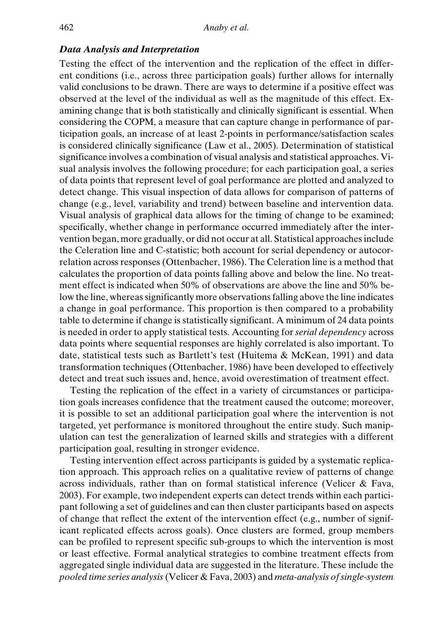#### *Data Analysis and Interpretation*

Testing the effect of the intervention and the replication of the effect in different conditions (i.e., across three participation goals) further allows for internally valid conclusions to be drawn. There are ways to determine if a positive effect was observed at the level of the individual as well as the magnitude of this effect. Examining change that is both statistically and clinically significant is essential. When considering the COPM, a measure that can capture change in performance of participation goals, an increase of at least 2-points in performance/satisfaction scales is considered clinically significance (Law et al., 2005). Determination of statistical significance involves a combination of visual analysis and statistical approaches. Visual analysis involves the following procedure; for each participation goal, a series of data points that represent level of goal performance are plotted and analyzed to detect change. This visual inspection of data allows for comparison of patterns of change (e.g., level, variability and trend) between baseline and intervention data. Visual analysis of graphical data allows for the timing of change to be examined; specifically, whether change in performance occurred immediately after the intervention began, more gradually, or did not occur at all. Statistical approaches include the Celeration line and C-statistic; both account for serial dependency or autocorrelation across responses (Ottenbacher, 1986). The Celeration line is a method that calculates the proportion of data points falling above and below the line. No treatment effect is indicated when 50% of observations are above the line and 50% below the line, whereas significantly more observations falling above the line indicates a change in goal performance. This proportion is then compared to a probability table to determine if change is statistically significant. A minimum of 24 data points is needed in order to apply statistical tests. Accounting for *serial dependency* across data points where sequential responses are highly correlated is also important. To date, statistical tests such as Bartlett's test (Huitema & McKean, 1991) and data transformation techniques (Ottenbacher, 1986) have been developed to effectively detect and treat such issues and, hence, avoid overestimation of treatment effect.

Testing the replication of the effect in a variety of circumstances or participation goals increases confidence that the treatment caused the outcome; moreover, it is possible to set an additional participation goal where the intervention is not targeted, yet performance is monitored throughout the entire study. Such manipulation can test the generalization of learned skills and strategies with a different participation goal, resulting in stronger evidence.

Testing intervention effect across participants is guided by a systematic replication approach. This approach relies on a qualitative review of patterns of change across individuals, rather than on formal statistical inference (Velicer & Fava, 2003). For example, two independent experts can detect trends within each participant following a set of guidelines and can then cluster participants based on aspects of change that reflect the extent of the intervention effect (e.g., number of significant replicated effects across goals). Once clusters are formed, group members can be profiled to represent specific sub-groups to which the intervention is most or least effective. Formal analytical strategies to combine treatment effects from aggregated single individual data are suggested in the literature. These include the *pooled time series analysis*(Velicer & Fava, 2003) and *meta-analysis of single-system*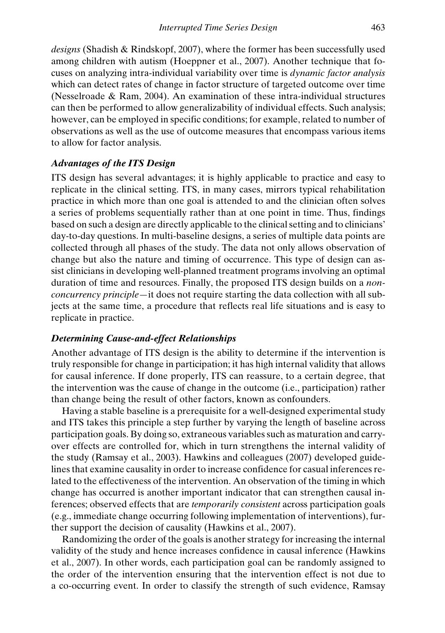*designs* (Shadish & Rindskopf, 2007), where the former has been successfully used among children with autism (Hoeppner et al., 2007). Another technique that focuses on analyzing intra-individual variability over time is *dynamic factor analysis* which can detect rates of change in factor structure of targeted outcome over time (Nesselroade & Ram, 2004). An examination of these intra-individual structures can then be performed to allow generalizability of individual effects. Such analysis; however, can be employed in specific conditions; for example, related to number of observations as well as the use of outcome measures that encompass various items to allow for factor analysis.

#### *Advantages of the ITS Design*

ITS design has several advantages; it is highly applicable to practice and easy to replicate in the clinical setting. ITS, in many cases, mirrors typical rehabilitation practice in which more than one goal is attended to and the clinician often solves a series of problems sequentially rather than at one point in time. Thus, findings based on such a design are directly applicable to the clinical setting and to clinicians' day-to-day questions. In multi-baseline designs, a series of multiple data points are collected through all phases of the study. The data not only allows observation of change but also the nature and timing of occurrence. This type of design can assist clinicians in developing well-planned treatment programs involving an optimal duration of time and resources. Finally, the proposed ITS design builds on a *nonconcurrency principle*—it does not require starting the data collection with all subjects at the same time, a procedure that reflects real life situations and is easy to replicate in practice.

#### *Determining Cause-and-effect Relationships*

Another advantage of ITS design is the ability to determine if the intervention is truly responsible for change in participation; it has high internal validity that allows for causal inference. If done properly, ITS can reassure, to a certain degree, that the intervention was the cause of change in the outcome (i.e., participation) rather than change being the result of other factors, known as confounders.

Having a stable baseline is a prerequisite for a well-designed experimental study and ITS takes this principle a step further by varying the length of baseline across participation goals. By doing so, extraneous variables such as maturation and carryover effects are controlled for, which in turn strengthens the internal validity of the study (Ramsay et al., 2003). Hawkins and colleagues (2007) developed guidelines that examine causality in order to increase confidence for casual inferences related to the effectiveness of the intervention. An observation of the timing in which change has occurred is another important indicator that can strengthen causal inferences; observed effects that are *temporarily consistent* across participation goals (e.g., immediate change occurring following implementation of interventions), further support the decision of causality (Hawkins et al., 2007).

Randomizing the order of the goals is another strategy for increasing the internal validity of the study and hence increases confidence in causal inference (Hawkins et al., 2007). In other words, each participation goal can be randomly assigned to the order of the intervention ensuring that the intervention effect is not due to a co-occurring event. In order to classify the strength of such evidence, Ramsay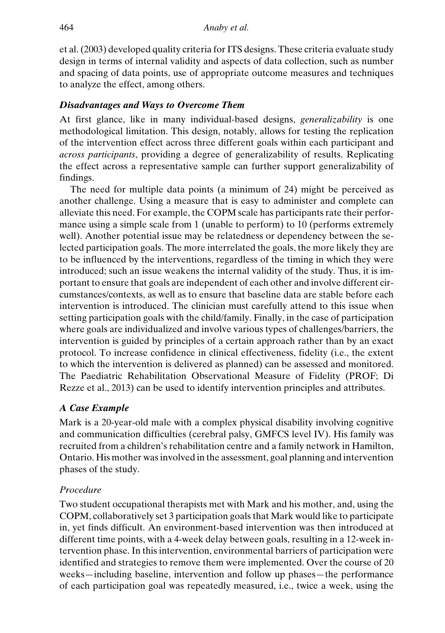et al. (2003) developed quality criteria for ITS designs. These criteria evaluate study design in terms of internal validity and aspects of data collection, such as number and spacing of data points, use of appropriate outcome measures and techniques to analyze the effect, among others.

#### *Disadvantages and Ways to Overcome Them*

At first glance, like in many individual-based designs, *generalizability* is one methodological limitation. This design, notably, allows for testing the replication of the intervention effect across three different goals within each participant and *across participants*, providing a degree of generalizability of results. Replicating the effect across a representative sample can further support generalizability of findings.

The need for multiple data points (a minimum of 24) might be perceived as another challenge. Using a measure that is easy to administer and complete can alleviate this need. For example, the COPM scale has participants rate their performance using a simple scale from 1 (unable to perform) to 10 (performs extremely well). Another potential issue may be relatedness or dependency between the selected participation goals. The more interrelated the goals, the more likely they are to be influenced by the interventions, regardless of the timing in which they were introduced; such an issue weakens the internal validity of the study. Thus, it is important to ensure that goals are independent of each other and involve different circumstances/contexts, as well as to ensure that baseline data are stable before each intervention is introduced. The clinician must carefully attend to this issue when setting participation goals with the child/family. Finally, in the case of participation where goals are individualized and involve various types of challenges/barriers, the intervention is guided by principles of a certain approach rather than by an exact protocol. To increase confidence in clinical effectiveness, fidelity (i.e., the extent to which the intervention is delivered as planned) can be assessed and monitored. The Paediatric Rehabilitation Observational Measure of Fidelity (PROF; Di Rezze et al., 2013) can be used to identify intervention principles and attributes.

### *A Case Example*

Mark is a 20-year-old male with a complex physical disability involving cognitive and communication difficulties (cerebral palsy, GMFCS level IV). His family was recruited from a children's rehabilitation centre and a family network in Hamilton, Ontario. His mother was involved in the assessment, goal planning and intervention phases of the study.

### *Procedure*

Two student occupational therapists met with Mark and his mother, and, using the COPM, collaboratively set 3 participation goals that Mark would like to participate in, yet finds difficult. An environment-based intervention was then introduced at different time points, with a 4-week delay between goals, resulting in a 12-week intervention phase. In this intervention, environmental barriers of participation were identified and strategies to remove them were implemented. Over the course of 20 weeks—including baseline, intervention and follow up phases—the performance of each participation goal was repeatedly measured, i.e., twice a week, using the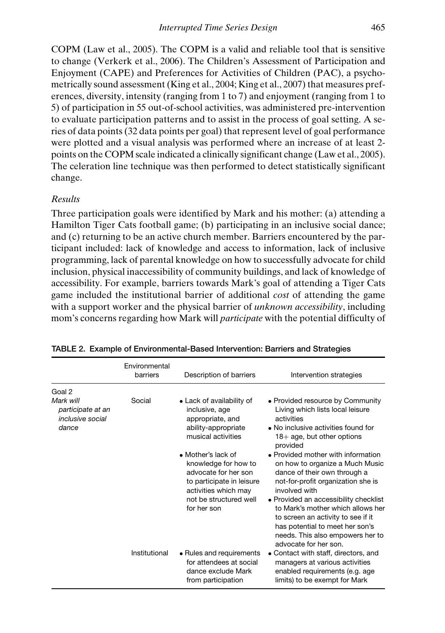COPM (Law et al., 2005). The COPM is a valid and reliable tool that is sensitive to change (Verkerk et al., 2006). The Children's Assessment of Participation and Enjoyment (CAPE) and Preferences for Activities of Children (PAC), a psychometrically sound assessment (King et al., 2004; King et al., 2007) that measures preferences, diversity, intensity (ranging from 1 to 7) and enjoyment (ranging from 1 to 5) of participation in 55 out-of-school activities, was administered pre-intervention to evaluate participation patterns and to assist in the process of goal setting. A series of data points (32 data points per goal) that represent level of goal performance were plotted and a visual analysis was performed where an increase of at least 2 points on the COPM scale indicated a clinically significant change (Law et al., 2005). The celeration line technique was then performed to detect statistically significant change.

#### *Results*

Three participation goals were identified by Mark and his mother: (a) attending a Hamilton Tiger Cats football game; (b) participating in an inclusive social dance; and (c) returning to be an active church member. Barriers encountered by the participant included: lack of knowledge and access to information, lack of inclusive programming, lack of parental knowledge on how to successfully advocate for child inclusion, physical inaccessibility of community buildings, and lack of knowledge of accessibility. For example, barriers towards Mark's goal of attending a Tiger Cats game included the institutional barrier of additional *cost* of attending the game with a support worker and the physical barrier of *unknown accessibility*, including mom's concerns regarding how Mark will *participate* with the potential difficulty of

|                                                                    | Environmental<br>barriers | Description of barriers                                                                                                 | Intervention strategies                                                                                                                                                                                          |
|--------------------------------------------------------------------|---------------------------|-------------------------------------------------------------------------------------------------------------------------|------------------------------------------------------------------------------------------------------------------------------------------------------------------------------------------------------------------|
| Goal 2                                                             |                           |                                                                                                                         |                                                                                                                                                                                                                  |
| Mark will<br>participate at an<br><i>inclusive social</i><br>dance | Social                    | • Lack of availability of<br>inclusive, age<br>appropriate, and<br>ability-appropriate<br>musical activities            | • Provided resource by Community<br>Living which lists local leisure<br>activities<br>• No inclusive activities found for<br>$18+$ age, but other options<br>provided                                            |
|                                                                    |                           | • Mother's lack of<br>knowledge for how to<br>advocate for her son<br>to participate in leisure<br>activities which may | • Provided mother with information<br>on how to organize a Much Music<br>dance of their own through a<br>not-for-profit organization she is<br>involved with                                                     |
|                                                                    |                           | not be structured well<br>for her son                                                                                   | • Provided an accessibility checklist<br>to Mark's mother which allows her<br>to screen an activity to see if it<br>has potential to meet her son's<br>needs. This also empowers her to<br>advocate for her son. |
|                                                                    | Institutional             | • Rules and requirements<br>for attendees at social<br>dance exclude Mark<br>from participation                         | • Contact with staff, directors, and<br>managers at various activities<br>enabled requirements (e.g. age<br>limits) to be exempt for Mark                                                                        |

|  |  | TABLE 2. Example of Environmental-Based Intervention: Barriers and Strategies |  |  |  |  |  |
|--|--|-------------------------------------------------------------------------------|--|--|--|--|--|
|--|--|-------------------------------------------------------------------------------|--|--|--|--|--|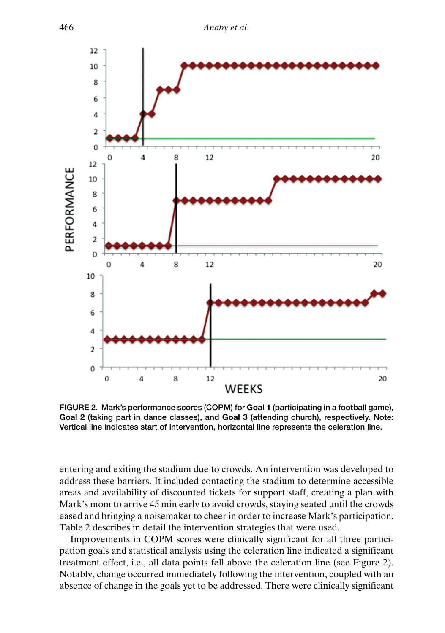

**FIGURE 2. Mark's performance scores (COPM) for Goal 1 (participating in a football game), Goal 2 (taking part in dance classes), and Goal 3 (attending church), respectively. Note: Vertical line indicates start of intervention, horizontal line represents the celeration line.**

entering and exiting the stadium due to crowds. An intervention was developed to address these barriers. It included contacting the stadium to determine accessible areas and availability of discounted tickets for support staff, creating a plan with Mark's mom to arrive 45 min early to avoid crowds, staying seated until the crowds eased and bringing a noisemaker to cheer in order to increase Mark's participation. Table 2 describes in detail the intervention strategies that were used.

Improvements in COPM scores were clinically significant for all three participation goals and statistical analysis using the celeration line indicated a significant treatment effect, i.e., all data points fell above the celeration line (see Figure 2). Notably, change occurred immediately following the intervention, coupled with an absence of change in the goals yet to be addressed. There were clinically significant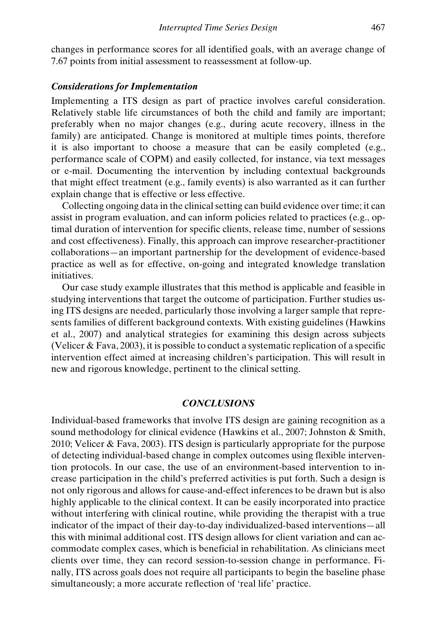changes in performance scores for all identified goals, with an average change of 7.67 points from initial assessment to reassessment at follow-up.

#### *Considerations for Implementation*

Implementing a ITS design as part of practice involves careful consideration. Relatively stable life circumstances of both the child and family are important; preferably when no major changes (e.g., during acute recovery, illness in the family) are anticipated. Change is monitored at multiple times points, therefore it is also important to choose a measure that can be easily completed (e.g., performance scale of COPM) and easily collected, for instance, via text messages or e-mail. Documenting the intervention by including contextual backgrounds that might effect treatment (e.g., family events) is also warranted as it can further explain change that is effective or less effective.

Collecting ongoing data in the clinical setting can build evidence over time; it can assist in program evaluation, and can inform policies related to practices (e.g., optimal duration of intervention for specific clients, release time, number of sessions and cost effectiveness). Finally, this approach can improve researcher-practitioner collaborations—an important partnership for the development of evidence-based practice as well as for effective, on-going and integrated knowledge translation initiatives.

Our case study example illustrates that this method is applicable and feasible in studying interventions that target the outcome of participation. Further studies using ITS designs are needed, particularly those involving a larger sample that represents families of different background contexts. With existing guidelines (Hawkins et al., 2007) and analytical strategies for examining this design across subjects (Velicer & Fava, 2003), it is possible to conduct a systematic replication of a specific intervention effect aimed at increasing children's participation. This will result in new and rigorous knowledge, pertinent to the clinical setting.

#### *CONCLUSIONS*

Individual-based frameworks that involve ITS design are gaining recognition as a sound methodology for clinical evidence (Hawkins et al., 2007; Johnston & Smith, 2010; Velicer & Fava, 2003). ITS design is particularly appropriate for the purpose of detecting individual-based change in complex outcomes using flexible intervention protocols. In our case, the use of an environment-based intervention to increase participation in the child's preferred activities is put forth. Such a design is not only rigorous and allows for cause-and-effect inferences to be drawn but is also highly applicable to the clinical context. It can be easily incorporated into practice without interfering with clinical routine, while providing the therapist with a true indicator of the impact of their day-to-day individualized-based interventions—all this with minimal additional cost. ITS design allows for client variation and can accommodate complex cases, which is beneficial in rehabilitation. As clinicians meet clients over time, they can record session-to-session change in performance. Finally, ITS across goals does not require all participants to begin the baseline phase simultaneously; a more accurate reflection of 'real life' practice.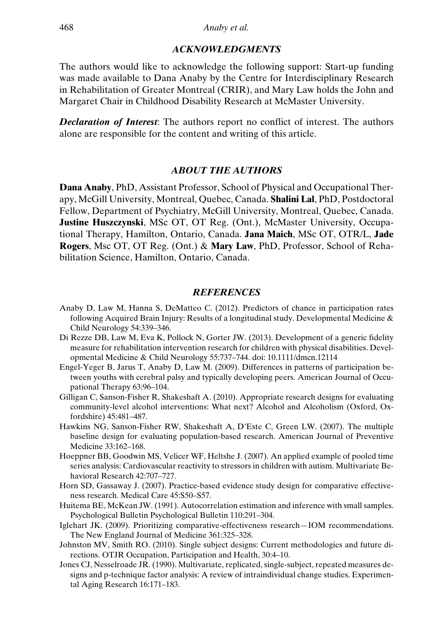#### *ACKNOWLEDGMENTS*

The authors would like to acknowledge the following support: Start-up funding was made available to Dana Anaby by the Centre for Interdisciplinary Research in Rehabilitation of Greater Montreal (CRIR), and Mary Law holds the John and Margaret Chair in Childhood Disability Research at McMaster University.

*Declaration of Interest*: The authors report no conflict of interest. The authors alone are responsible for the content and writing of this article.

#### *ABOUT THE AUTHORS*

**Dana Anaby**, PhD, Assistant Professor, School of Physical and Occupational Therapy, McGill University, Montreal, Quebec, Canada. **Shalini Lal**, PhD, Postdoctoral Fellow, Department of Psychiatry, McGill University, Montreal, Quebec, Canada. **Justine Huszczynski**, MSc OT, OT Reg. (Ont.), McMaster University, Occupational Therapy, Hamilton, Ontario, Canada. **Jana Maich**, MSc OT, OTR/L, **Jade Rogers**, Msc OT, OT Reg. (Ont.) & **Mary Law**, PhD, Professor, School of Rehabilitation Science, Hamilton, Ontario, Canada.

#### *REFERENCES*

- Anaby D, Law M, Hanna S, DeMatteo C. (2012). Predictors of chance in participation rates following Acquired Brain Injury: Results of a longitudinal study. Developmental Medicine & Child Neurology 54:339–346.
- Di Rezze DB, Law M, Eva K, Pollock N, Gorter JW. (2013). Development of a generic fidelity measure for rehabilitation intervention research for children with physical disabilities. Developmental Medicine & Child Neurology 55:737–744. doi: 10.1111/dmcn.12114
- Engel-Yeger B, Jarus T, Anaby D, Law M. (2009). Differences in patterns of participation between youths with cerebral palsy and typically developing peers. American Journal of Occupational Therapy 63:96–104.
- Gilligan C, Sanson-Fisher R, Shakeshaft A. (2010). Appropriate research designs for evaluating community-level alcohol interventions: What next? Alcohol and Alcoholism (Oxford, Oxfordshire) 45:481–487.
- Hawkins NG, Sanson-Fisher RW, Shakeshaft A, D'Este C, Green LW. (2007). The multiple baseline design for evaluating population-based research. American Journal of Preventive Medicine 33:162–168.
- Hoeppner BB, Goodwin MS, Velicer WF, Heltshe J. (2007). An applied example of pooled time series analysis: Cardiovascular reactivity to stressors in children with autism. Multivariate Behavioral Research 42:707–727.
- Horn SD, Gassaway J. (2007). Practice-based evidence study design for comparative effectiveness research. Medical Care 45:S50–S57.
- Huitema BE, McKean JW. (1991). Autocorrelation estimation and inference with small samples. Psychological Bulletin Psychological Bulletin 110:291–304.
- Iglehart JK. (2009). Prioritizing comparative-effectiveness research—IOM recommendations. The New England Journal of Medicine 361:325–328.
- Johnston MV, Smith RO. (2010). Single subject designs: Current methodologies and future directions. OTJR Occupation, Participation and Health, 30:4–10.
- Jones CJ, Nesselroade JR. (1990). Multivariate, replicated, single-subject, repeated measures designs and p-technique factor analysis: A review of intraindividual change studies. Experimental Aging Research 16:171–183.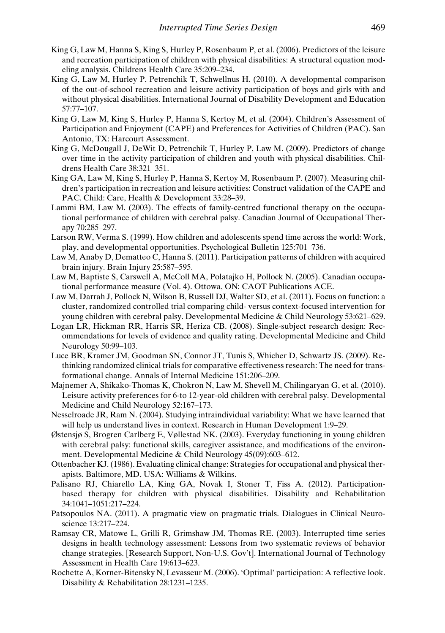- King G, Law M, Hanna S, King S, Hurley P, Rosenbaum P, et al. (2006). Predictors of the leisure and recreation participation of children with physical disabilities: A structural equation modeling analysis. Childrens Health Care 35:209–234.
- King G, Law M, Hurley P, Petrenchik T, Schwellnus H. (2010). A developmental comparison of the out-of-school recreation and leisure activity participation of boys and girls with and without physical disabilities. International Journal of Disability Development and Education 57:77–107.
- King G, Law M, King S, Hurley P, Hanna S, Kertoy M, et al. (2004). Children's Assessment of Participation and Enjoyment (CAPE) and Preferences for Activities of Children (PAC). San Antonio, TX: Harcourt Assessment.
- King G, McDougall J, DeWit D, Petrenchik T, Hurley P, Law M. (2009). Predictors of change over time in the activity participation of children and youth with physical disabilities. Childrens Health Care 38:321–351.
- King GA, Law M, King S, Hurley P, Hanna S, Kertoy M, Rosenbaum P. (2007). Measuring children's participation in recreation and leisure activities: Construct validation of the CAPE and PAC. Child: Care, Health & Development 33:28–39.
- Lammi BM, Law M. (2003). The effects of family-centred functional therapy on the occupational performance of children with cerebral palsy. Canadian Journal of Occupational Therapy 70:285–297.
- Larson RW, Verma S. (1999). How children and adolescents spend time across the world: Work, play, and developmental opportunities. Psychological Bulletin 125:701–736.
- Law M, Anaby D, Dematteo C, Hanna S. (2011). Participation patterns of children with acquired brain injury. Brain Injury 25:587–595.
- Law M, Baptiste S, Carswell A, McColl MA, Polatajko H, Pollock N. (2005). Canadian occupational performance measure (Vol. 4). Ottowa, ON: CAOT Publications ACE.
- Law M, Darrah J, Pollock N, Wilson B, Russell DJ, Walter SD, et al. (2011). Focus on function: a cluster, randomized controlled trial comparing child- versus context-focused intervention for young children with cerebral palsy. Developmental Medicine & Child Neurology 53:621–629.
- Logan LR, Hickman RR, Harris SR, Heriza CB. (2008). Single-subject research design: Recommendations for levels of evidence and quality rating. Developmental Medicine and Child Neurology 50:99–103.
- Luce BR, Kramer JM, Goodman SN, Connor JT, Tunis S, Whicher D, Schwartz JS. (2009). Rethinking randomized clinical trials for comparative effectiveness research: The need for transformational change. Annals of Internal Medicine 151:206–209.
- Majnemer A, Shikako-Thomas K, Chokron N, Law M, Shevell M, Chilingaryan G, et al. (2010). Leisure activity preferences for 6-to 12-year-old children with cerebral palsy. Developmental Medicine and Child Neurology 52:167–173.
- Nesselroade JR, Ram N. (2004). Studying intraindividual variability: What we have learned that will help us understand lives in context. Research in Human Development 1:9–29.
- Østensjø S, Brogren Carlberg E, Vøllestad NK. (2003). Everyday functioning in young children with cerebral palsy: functional skills, caregiver assistance, and modifications of the environment. Developmental Medicine & Child Neurology 45(09):603–612.
- Ottenbacher KJ. (1986). Evaluating clinical change: Strategies for occupational and physical therapists. Baltimore, MD, USA: Williams & Wilkins.
- Palisano RJ, Chiarello LA, King GA, Novak I, Stoner T, Fiss A. (2012). Participationbased therapy for children with physical disabilities. Disability and Rehabilitation 34:1041–1051:217–224.
- Patsopoulos NA. (2011). A pragmatic view on pragmatic trials. Dialogues in Clinical Neuroscience 13:217–224.
- Ramsay CR, Matowe L, Grilli R, Grimshaw JM, Thomas RE. (2003). Interrupted time series designs in health technology assessment: Lessons from two systematic reviews of behavior change strategies. [Research Support, Non-U.S. Gov't]. International Journal of Technology Assessment in Health Care 19:613–623.
- Rochette A, Korner-Bitensky N, Levasseur M. (2006). 'Optimal' participation: A reflective look. Disability & Rehabilitation 28:1231–1235.